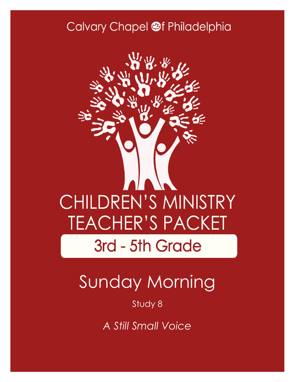## Calvary Chapel @f Philadelphia



# Sunday Morning

### Study 8

*A Still Small Voice*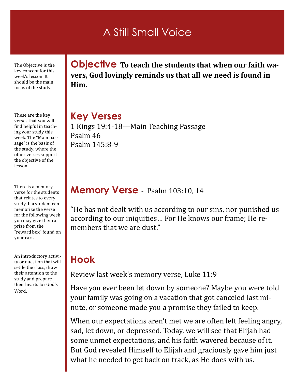## A Still Small Voice

The Objective is the key concept for this week's lesson. It should be the main focus of the study.

These are the key verses that you will find helpful in teaching your study this week. The "Main passage" is the basis of the study, where the other verses support the objective of the lesson.

There is a memory verse for the students that relates to every study. If a student can memorize the verse for the following week you may give them a prize from the "reward box" found on your cart.

An introductory activity or question that will settle the class, draw their attention to the study and prepare their hearts for God's Word.

**Objective To teach the students that when our faith wavers, God lovingly reminds us that all we need is found in Him.** 

### **Key Verses**

1 Kings 19:4-18—Main Teaching Passage Psalm 46 Psalm 145:8-9

#### **Memory Verse** - Psalm 103:10, 14

"He has not dealt with us according to our sins, nor punished us according to our iniquities… For He knows our frame; He remembers that we are dust."

### **Hook**

Review last week's memory verse, Luke 11:9

Have you ever been let down by someone? Maybe you were told your family was going on a vacation that got canceled last minute, or someone made you a promise they failed to keep.

When our expectations aren't met we are often left feeling angry, sad, let down, or depressed. Today, we will see that Elijah had some unmet expectations, and his faith wavered because of it. But God revealed Himself to Elijah and graciously gave him just what he needed to get back on track, as He does with us.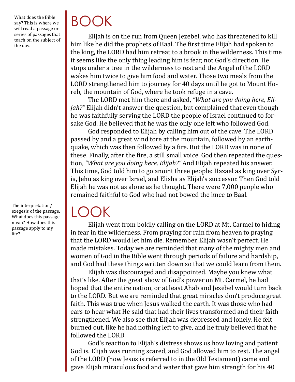What does the Bible say? This is where we will read a passage or series of passages that teach on the subject of the day.

The interpretation/ exegesis of the passage. What does this passage mean? How does this passage apply to my life?

# BOOK

Elijah is on the run from Queen Jezebel, who has threatened to kill him like he did the prophets of Baal. The first time Elijah had spoken to the king, the LORD had him retreat to a brook in the wilderness. This time it seems like the only thing leading him is fear, not God's direction. He stops under a tree in the wilderness to rest and the Angel of the LORD wakes him twice to give him food and water. Those two meals from the LORD strengthened him to journey for 40 days until he got to Mount Horeb, the mountain of God, where he took refuge in a cave.

The LORD met him there and asked, *"What are you doing here, Elijah?"* Elijah didn't answer the question, but complained that even though he was faithfully serving the LORD the people of Israel continued to forsake God. He believed that he was the only one left who followed God.

God responded to Elijah by calling him out of the cave. The LORD passed by and a great wind tore at the mountain, followed by an earthquake, which was then followed by a fire. But the LORD was in none of these. Finally, after the fire, a still small voice. God then repeated the question, *"What are you doing here, Elijah?"* And Elijah repeated his answer. This time, God told him to go anoint three people: Hazael as king over Syria, Jehu as king over Israel, and Elisha as Elijah's successor. Then God told Elijah he was not as alone as he thought. There were 7,000 people who remained faithful to God who had not bowed the knee to Baal.

# LOOK

Elijah went from boldly calling on the LORD at Mt. Carmel to hiding in fear in the wilderness. From praying for rain from heaven to praying that the LORD would let him die. Remember, Elijah wasn't perfect. He made mistakes. Today we are reminded that many of the mighty men and women of God in the Bible went through periods of failure and hardship, and God had these things written down so that we could learn from them.

Elijah was discouraged and disappointed. Maybe you knew what that's like. After the great show of God's power on Mt. Carmel, he had hoped that the entire nation, or at least Ahab and Jezebel would turn back to the LORD. But we are reminded that great miracles don't produce great faith. This was true when Jesus walked the earth. It was those who had ears to hear what He said that had their lives transformed and their faith strengthened. We also see that Elijah was depressed and lonely. He felt burned out, like he had nothing left to give, and he truly believed that he followed the LORD.

God's reaction to Elijah's distress shows us how loving and patient God is. Elijah was running scared, and God allowed him to rest. The angel of the LORD (how Jesus is referred to in the Old Testament) came and gave Elijah miraculous food and water that gave him strength for his 40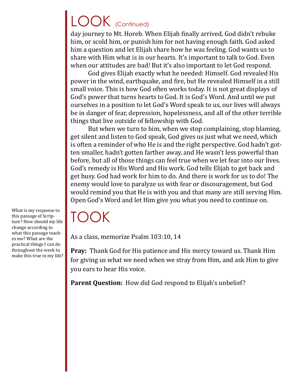# LOOK (Continued)

day journey to Mt. Horeb. When Elijah finally arrived, God didn't rebuke him, or scold him, or punish him for not having enough faith. God asked him a question and let Elijah share how he was feeling. God wants us to share with Him what is in our hearts. It's important to talk to God. Even when our attitudes are bad! But it's also important to let God respond.

God gives Elijah exactly what he needed: Himself. God revealed His power in the wind, earthquake, and fire, but He revealed Himself in a still small voice. This is how God often works today. It is not great displays of God's power that turns hearts to God. It is God's Word. And until we put ourselves in a position to let God's Word speak to us, our lives will always be in danger of fear, depression, hopelessness, and all of the other terrible things that live outside of fellowship with God.

But when we turn to him, when we stop complaining, stop blaming, get silent and listen to God speak, God gives us just what we need, which is often a reminder of who He is and the right perspective. God hadn't gotten smaller, hadn't gotten farther away, and He wasn't less powerful than before, but all of those things can feel true when we let fear into our lives. God's remedy is His Word and His work. God tells Elijah to get back and get busy. God had work for him to do. And there is work for us to do! The enemy would love to paralyze us with fear or discouragement, but God would remind you that He is with you and that many are still serving Him. Open God's Word and let Him give you what you need to continue on.

TOOK

As a class, memorize Psalm 103:10, 14

**Pray:** Thank God for His patience and His mercy toward us. Thank Him for giving us what we need when we stray from Him, and ask Him to give you ears to hear His voice.

Parent Question: How did God respond to Elijah's unbelief?

What is my response to this passage of Scripture? How should my life change according to what this passage teaches me? What are the practical things I can do throughout the week to make this true in my life?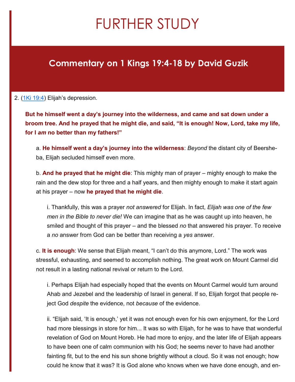## FURTHER STUDY

### **Commentary on 1 Kings 19:4-18 by David Guzik**

#### 2. [\(1Ki 19:4\)](https://www.blueletterbible.org/kjv/1kings/19/4/s_310004) Elijah's depression.

**But he himself went a day's journey into the wilderness, and came and sat down under a broom tree. And he prayed that he might die, and said, "It is enough! Now, Lord, take my life, for I** *am* **no better than my fathers!"**

a. **He himself went a day's journey into the wilderness**: *Beyond* the distant city of Beersheba, Elijah secluded himself even more.

b. **And he prayed that he might die**: This mighty man of prayer – mighty enough to make the rain and the dew stop for three and a half years, and then mighty enough to make it start again at his prayer – now **he prayed that he might die**.

i. Thankfully, this was a prayer *not answered* for Elijah. In fact, *Elijah was one of the few men in the Bible to never die!* We can imagine that as he was caught up into heaven, he smiled and thought of this prayer – and the blessed *no* that answered his prayer. To receive a *no* answer from God can be better than receiving a *yes* answer.

c. **It is enough**: We sense that Elijah meant, "I can't do this anymore, Lord." The work was stressful, exhausting, and seemed to accomplish nothing. The great work on Mount Carmel did not result in a lasting national revival or return to the Lord.

i. Perhaps Elijah had especially hoped that the events on Mount Carmel would turn around Ahab and Jezebel and the leadership of Israel in general. If so, Elijah forgot that people reject God *despite* the evidence, not *because* of the evidence.

ii. "Elijah said, 'It is enough,' yet it was not enough even for his own enjoyment, for the Lord had more blessings in store for him... It was so with Elijah, for he was to have that wonderful revelation of God on Mount Horeb. He had more to enjoy, and the later life of Elijah appears to have been one of calm communion with his God; he seems never to have had another fainting fit, but to the end his sun shone brightly without a cloud. So it was not enough; how could he know that it was? It is God alone who knows when we have done enough, and en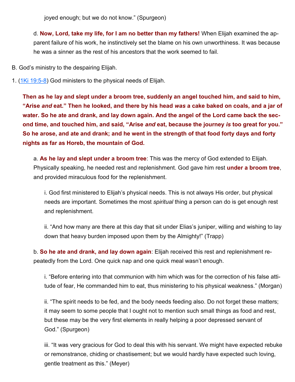joyed enough; but we do not know." (Spurgeon)

d. **Now, Lord, take my life, for I am no better than my fathers!** When Elijah examined the apparent failure of his work, he instinctively set the blame on his own unworthiness. It was because he was a sinner as the rest of his ancestors that the work seemed to fail.

- B. God's ministry to the despairing Elijah.
- 1. ([1Ki 19:5](https://www.blueletterbible.org/kjv/1kings/19/5-8/s_310005)-8) God ministers to the physical needs of Elijah.

**Then as he lay and slept under a broom tree, suddenly an angel touched him, and said to him, "Arise** *and* **eat." Then he looked, and there by his head** *was* **a cake baked on coals, and a jar of water. So he ate and drank, and lay down again. And the angel of the Lord came back the second time, and touched him, and said, "Arise** *and* **eat, because the journey** *is* **too great for you." So he arose, and ate and drank; and he went in the strength of that food forty days and forty nights as far as Horeb, the mountain of God.**

a. **As he lay and slept under a broom tree**: This was the mercy of God extended to Elijah. Physically speaking, he needed rest and replenishment. God gave him rest **under a broom tree**, and provided miraculous food for the replenishment.

i. God first ministered to Elijah's physical needs. This is not always His order, but physical needs are important. Sometimes the most *spiritual* thing a person can do is get enough rest and replenishment.

ii. "And how many are there at this day that sit under Elias's juniper, willing and wishing to lay down that heavy burden imposed upon them by the Almighty!" (Trapp)

b. **So he ate and drank, and lay down again**: Elijah received this rest and replenishment repeatedly from the Lord. One quick nap and one quick meal wasn't enough.

i. "Before entering into that communion with him which was for the correction of his false attitude of fear, He commanded him to eat, thus ministering to his physical weakness." (Morgan)

ii. "The spirit needs to be fed, and the body needs feeding also. Do not forget these matters; it may seem to some people that I ought not to mention such small things as food and rest, but these may be the very first elements in really helping a poor depressed servant of God." (Spurgeon)

iii. "It was very gracious for God to deal this with his servant. We might have expected rebuke or remonstrance, chiding or chastisement; but we would hardly have expected such loving, gentle treatment as this." (Meyer)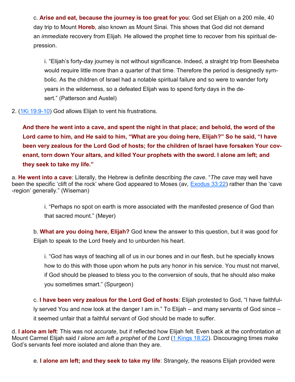c. **Arise and eat, because the journey is too great for you**: God set Elijah on a 200 mile, 40 day trip to Mount **Horeb**, also known as Mount Sinai. This shows that God did not demand an *immediate* recovery from Elijah. He allowed the prophet time to recover from his spiritual depression.

i. "Elijah's forty-day journey is not without significance. Indeed, a straight trip from Beesheba would require little more than a quarter of that time. Therefore the period is designedly symbolic. As the children of Israel had a notable spiritual failure and so were to wander forty years in the wilderness, so a defeated Elijah was to spend forty days in the desert." (Patterson and Austel)

2. ([1Ki 19:9](https://www.blueletterbible.org/kjv/1kings/19/9-10/s_310009)-10) God allows Elijah to vent his frustrations.

**And there he went into a cave, and spent the night in that place; and behold, the word of the Lord** *came* **to him, and He said to him, "What are you doing here, Elijah?" So he said, "I have been very zealous for the Lord God of hosts; for the children of Israel have forsaken Your covenant, torn down Your altars, and killed Your prophets with the sword. I alone am left; and they seek to take my life."**

a. **He went into a cave**: Literally, the Hebrew is definite describing *the cave*. "*The cave* may well have been the specific 'clift of the rock' where God appeared to Moses (av, [Exodus 33:22\)](https://www.blueletterbible.org/kjv/exodus/33/22/s_83022) rather than the 'cave -region' generally." (Wiseman)

> i. "Perhaps no spot on earth is more associated with the manifested presence of God than that sacred mount." (Meyer)

b. **What are you doing here, Elijah?** God knew the answer to this question, but it was good for Elijah to speak to the Lord freely and to unburden his heart.

i. "God has ways of teaching all of us in our bones and in our flesh, but he specially knows how to do this with those upon whom he puts any honor in his service. You must not marvel, if God should be pleased to bless you to the conversion of souls, that he should also make you sometimes smart." (Spurgeon)

c. **I have been very zealous for the Lord God of hosts**: Elijah protested to God, "I have faithfully served You and now look at the danger I am in." To Elijah – and many servants of God since – it seemed unfair that a faithful servant of God should be made to suffer.

d. **I alone am left**: This was not *accurate*, but if reflected how Elijah felt. Even back at the confrontation at Mount Carmel Elijah said *I alone am left a prophet of the Lord* ([1 Kings 18:22\)](https://www.blueletterbible.org/kjv/1kings/18/22/s_309022). Discouraging times make God's servants feel more isolated and alone than they are.

e. **I alone am left; and they seek to take my life**: Strangely, the reasons Elijah provided were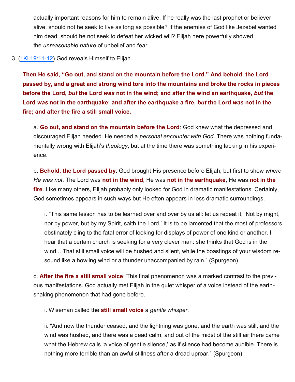actually important reasons for him to remain alive. If he really was the last prophet or believer alive, should not he seek to live as long as possible? If the enemies of God like Jezebel wanted him dead, should he not seek to defeat her wicked will? Elijah here powerfully showed the *unreasonable nature* of unbelief and fear.

#### 3. ([1Ki 19:11](https://www.blueletterbible.org/kjv/1kings/19/11-12/s_310011)-12) God reveals Himself to Elijah.

**Then He said, "Go out, and stand on the mountain before the Lord." And behold, the Lord passed by, and a great and strong wind tore into the mountains and broke the rocks in pieces before the Lord,** *but* **the Lord** *was* **not in the wind; and after the wind an earthquake,** *but* **the Lord** *was* **not in the earthquake; and after the earthquake a fire,** *but* **the Lord** *was* **not in the fire; and after the fire a still small voice.**

a. **Go out, and stand on the mountain before the Lord**: God knew what the depressed and discouraged Elijah needed. He needed a *personal encounter with God*. There was nothing fundamentally wrong with Elijah's *theology*, but at the time there was something lacking in his experience.

b. **Behold, the Lord passed by**: God brought His presence before Elijah, but first to show *where He was not*. The Lord was **not in the wind**, He was **not in the earthquake**, He was **not in the fire**. Like many others, Elijah probably only looked for God in dramatic manifestations. Certainly, God sometimes appears in such ways but He often appears in less dramatic surroundings.

i. "This same lesson has to be learned over and over by us all: let us repeat it, 'Not by might, nor by power, but by my Spirit, saith the Lord.' It is to be lamented that the most of professors obstinately cling to the fatal error of looking for displays of power of one kind or another. I hear that a certain church is seeking for a very clever man: she thinks that God is in the wind... That still small voice will be hushed and silent, while the boastings of your wisdom resound like a howling wind or a thunder unaccompanied by rain." (Spurgeon)

c. **After the fire a still small voice**: This final phenomenon was a marked contrast to the previous manifestations. God actually met Elijah in the quiet whisper of a voice instead of the earthshaking phenomenon that had gone before.

i. Wiseman called the **still small voice** a *gentle whisper*.

ii. "And now the thunder ceased, and the lightning was gone, and the earth was still, and the wind was hushed, and there was a dead calm, and out of the midst of the still air there came what the Hebrew calls 'a voice of gentle silence,' as if silence had become audible. There is nothing more terrible than an awful stillness after a dread uproar." (Spurgeon)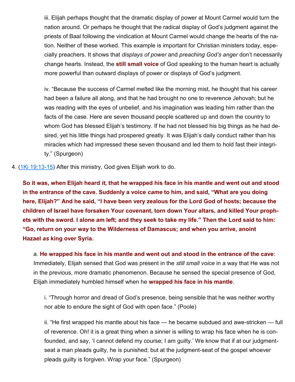iii. Elijah perhaps thought that the dramatic display of power at Mount Carmel would turn the nation around. Or perhaps he thought that the radical display of God's judgment against the priests of Baal following the vindication at Mount Carmel would change the hearts of the nation. Neither of these worked. This example is important for Christian ministers today, especially preachers. It shows that *displays of power* and *preaching God's anger* don't necessarily change hearts. Instead, the **still small voice** of God speaking to the human heart is actually more powerful than outward displays of power or displays of God's judgment.

iv. "Because the success of Carmel melted like the morning mist, he thought that his career had been a failure all along, and that he had brought no one to reverence Jehovah; but he was reading with the eyes of unbelief, and his imagination was leading him rather than the facts of the case. Here are seven thousand people scattered up and down the country to whom God has blessed Elijah's testimony. If he had not blessed his big things as he had desired, yet his little things had prospered greatly. It was Elijah's daily conduct rather than his miracles which had impressed these seven thousand and led them to hold fast their integrity." (Spurgeon)

4. ([1Ki 19:13](https://www.blueletterbible.org/kjv/1kings/19/13-15/s_310013)-15) After this ministry, God gives Elijah work to do.

**So it was, when Elijah heard** *it,* **that he wrapped his face in his mantle and went out and stood in the entrance of the cave. Suddenly a voice** *came* **to him, and said, "What are you doing here, Elijah?" And he said, "I have been very zealous for the Lord God of hosts; because the children of Israel have forsaken Your covenant, torn down Your altars, and killed Your prophets with the sword. I alone am left; and they seek to take my life." Then the Lord said to him: "Go, return on your way to the Wilderness of Damascus; and when you arrive, anoint Hazael** *as* **king over Syria.**

a. **He wrapped his face in his mantle and went out and stood in the entrance of the cave**: Immediately, Elijah sensed that God was present in the *still small voice* in a way that He was not in the previous, more dramatic phenomenon. Because he sensed the special presence of God, Elijah immediately humbled himself when he **wrapped his face in his mantle**.

i. "Through horror and dread of God's presence, being sensible that he was neither worthy nor able to endure the sight of God with open face." (Poole)

ii. "He first wrapped his mantle about his face — he became subdued and awe-stricken — full of reverence. Oh! it is a great thing when a sinner is willing to wrap his face when he is confounded, and say, 'I cannot defend my course; I am guilty.' We know that if at our judgmentseat a man pleads guilty, he is punished; but at the judgment-seat of the gospel whoever pleads guilty is forgiven. Wrap your face." (Spurgeon)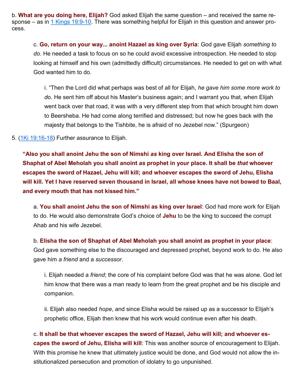b. **What are you doing here, Elijah?** God asked Elijah the same question – and received the same response – as in  $1$  Kings 19:9-10. There was something helpful for Elijah in this question and answer process.

c. **Go, return on your way... anoint Hazael as king over Syria**: God gave Elijah *something to do*. He needed a task to focus on so he could avoid excessive introspection. He needed to stop looking at himself and his own (admittedly difficult) circumstances. He needed to get on with what God wanted him to do.

i. "Then the Lord did what perhaps was best of all for Elijah, *he gave him some more work to d*o. He sent him off about his Master's business again; and I warrant you that, when Elijah went back over that road, it was with a very different step from that which brought him down to Beersheba. He had come along terrified and distressed; but now he goes back with the majesty that belongs to the Tishbite, he is afraid of no Jezebel now." (Spurgeon)

#### 5. ([1Ki 19:16](https://www.blueletterbible.org/kjv/1kings/19/16-18/s_310016)-18) Further assurance to Elijah.

**"Also you shall anoint Jehu the son of Nimshi** *as* **king over Israel. And Elisha the son of Shaphat of Abel Meholah you shall anoint** *as* **prophet in your place. It shall be** *that* **whoever escapes the sword of Hazael, Jehu will kill; and whoever escapes the sword of Jehu, Elisha will kill. Yet I have reserved seven thousand in Israel, all whose knees have not bowed to Baal, and every mouth that has not kissed him."**

a. **You shall anoint Jehu the son of Nimshi as king over Israel**: God had more work for Elijah to do. He would also demonstrate God's choice of **Jehu** to be the king to succeed the corrupt Ahab and his wife Jezebel.

#### b. **Elisha the son of Shaphat of Abel Meholah you shall anoint as prophet in your place**:

God gave something else to the discouraged and depressed prophet, beyond work to do. He also gave him *a friend* and a *successor*.

i. Elijah needed a *friend*; the core of his complaint before God was that he was alone. God let him know that there was a man ready to learn from the great prophet and be his disciple and companion.

ii. Elijah also needed *hope*, and since Elisha would be raised up as a successor to Elijah's prophetic office, Elijah then knew that his work would continue even after his death.

c. **It shall be that whoever escapes the sword of Hazael, Jehu will kill; and whoever escapes the sword of Jehu, Elisha will kill**: This was another source of encouragement to Elijah. With this promise he knew that ultimately justice would be done, and God would not allow the institutionalized persecution and promotion of idolatry to go unpunished.